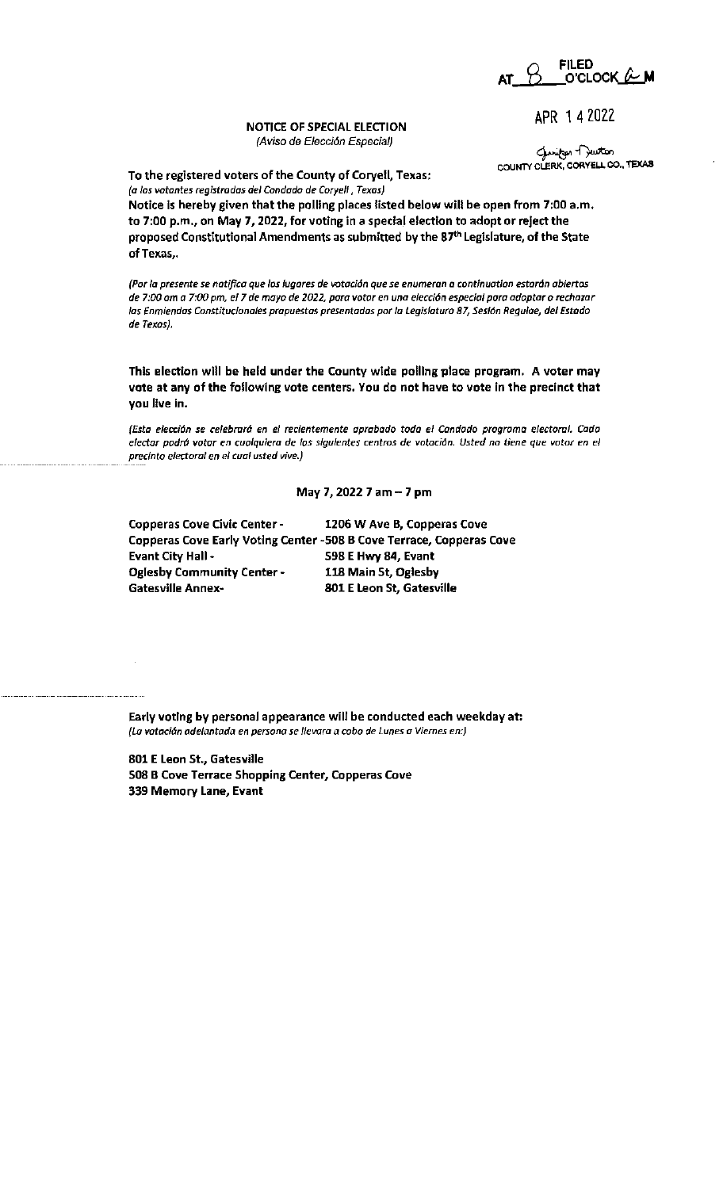at\_<u>B\_\_\_</u>o'clock<u>\_&\_</u>m

APR 1 4 2022

## NOTICE OF SPECIAL ELECTION (Aviso de E/ecci6n Especial)

gunitor Duston COUNTY CLERK, CORYELL CO., TEXAS

To the registered voters of the County of Coryell, Texas: *{a los votantes registradas de/ Condado de Coryell, Texas)* 

Notice is hereby given that the polling places listed below will be open from 7:00 a.m. to 7:00 p.m., on May 7, 2022, for voting in a special election to adopt or reject the proposed Constitutional Amendments as submitted by the 87<sup>th</sup> Legislature, of the State of Texas,.

*(Por la presente se natifica que los lugares de votación que se enumeran a continuation estarán abiertos* de 7:00 am a 7:00 pm, el 7 de mayo de 2022, para votar en una elección especial para adoptar o rechazar las Enmiendas Constitucionales prapuestas presentadas por la Legislatura 87, Sesión Regulae, del Estado de Texas).

This election will be held under the County wide polling place program. A voter may vote at any of the following vote centers, You do not have to vote in the precinct that you live In.

(Esta elecci6n se celebror6 en el recientemente aprobado todo el Condado programa electoral. Cada electar podrá votar en cualquiera de los siguientes centros de votación. Usted no tiene que votor en el preclnto electoral en el cual usted vive.)

## May 7, 2022 7 am-7 pm

| <b>Copperas Cove Civic Center -</b> | 1206 W Ave B, Copperas Cove                                          |
|-------------------------------------|----------------------------------------------------------------------|
|                                     | Copperas Cove Early Voting Center -508 B Cove Terrace, Copperas Cove |
| <b>Evant City Hall -</b>            | 598 E Hwy 84, Evant                                                  |
| <b>Oglesby Community Center-</b>    | 118 Main St, Oglesby                                                 |
| Gatesville Annex-                   | 801 E Leon St, Gatesville                                            |

Early voting by personal appearance will be conducted each weekday at: *(La* votaci6n adelantada en persona se 1/evara a cabo de Lunes a Viernes en:)

801 E Leon St., Gatesville 508 B Cove Terrace Shopping Center, Copperas Cove 339 Memory Lane, Evant